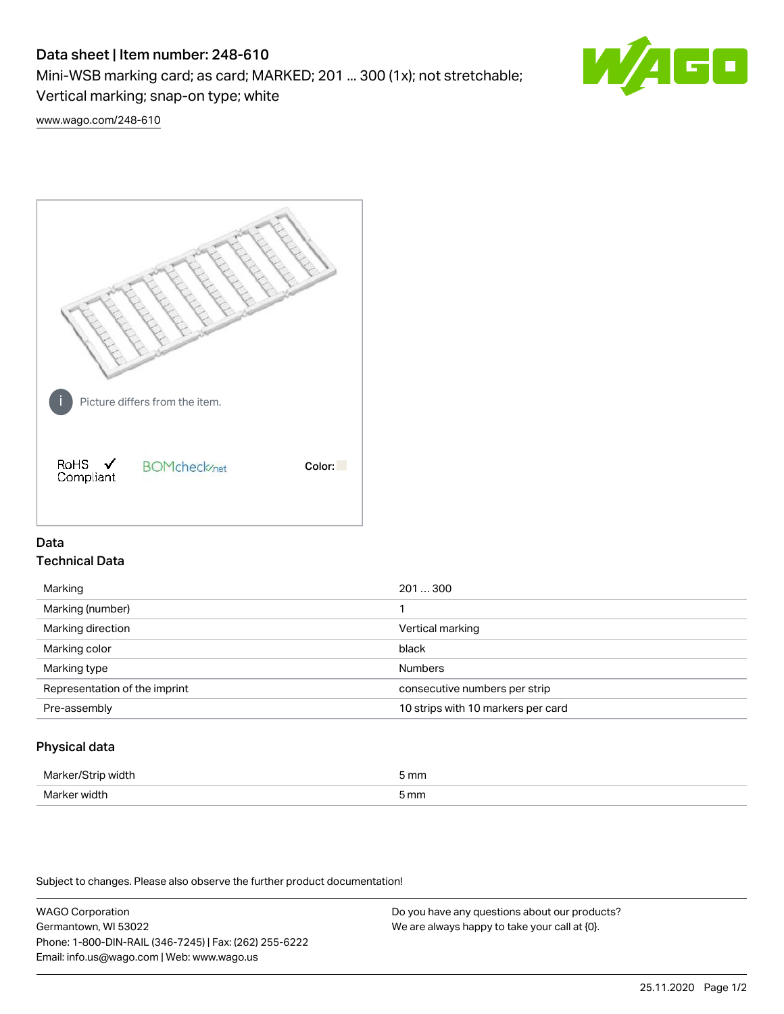# Data sheet | Item number: 248-610

Mini-WSB marking card; as card; MARKED; 201 ... 300 (1x); not stretchable;

Vertical marking; snap-on type; white

60

[www.wago.com/248-610](http://www.wago.com/248-610)



## Data Technical Data

| Marking                       | 201300                             |
|-------------------------------|------------------------------------|
| Marking (number)              |                                    |
| Marking direction             | Vertical marking                   |
| Marking color                 | black                              |
| Marking type                  | <b>Numbers</b>                     |
| Representation of the imprint | consecutive numbers per strip      |
| Pre-assembly                  | 10 strips with 10 markers per card |
|                               |                                    |

## Physical data

| Mar                      | 5 mm |
|--------------------------|------|
| M <sub>cr</sub><br>width | 5 mm |

Subject to changes. Please also observe the further product documentation!

WAGO Corporation Germantown, WI 53022 Phone: 1-800-DIN-RAIL (346-7245) | Fax: (262) 255-6222 Email: info.us@wago.com | Web: www.wago.us Do you have any questions about our products? We are always happy to take your call at {0}.